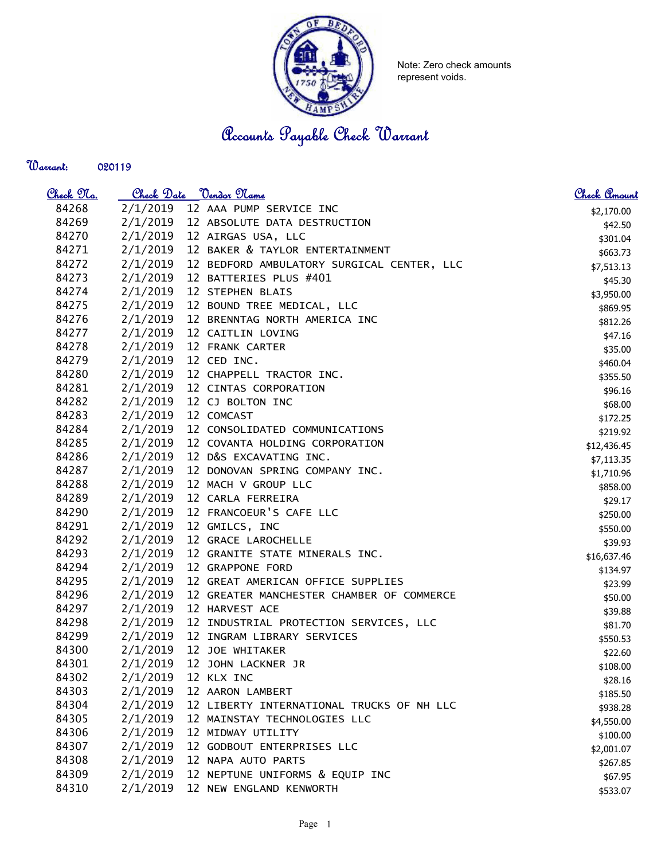

Note: Zero check amounts represent voids.

Accounts Payable Check Warrant

Warrant: 

| <u>Check Na.</u> | Check Date <u>Vendor Name</u> |  |                                            | <u>Check Amount</u> |
|------------------|-------------------------------|--|--------------------------------------------|---------------------|
| 84268            | 2/1/2019                      |  | 12 AAA PUMP SERVICE INC                    | \$2,170.00          |
| 84269            | 2/1/2019                      |  | 12 ABSOLUTE DATA DESTRUCTION               | \$42.50             |
| 84270            | 2/1/2019                      |  | 12 AIRGAS USA, LLC                         | \$301.04            |
| 84271            | 2/1/2019                      |  | 12 BAKER & TAYLOR ENTERTAINMENT            | \$663.73            |
| 84272            | 2/1/2019                      |  | 12 BEDFORD AMBULATORY SURGICAL CENTER, LLC | \$7,513.13          |
| 84273            | 2/1/2019                      |  | 12 BATTERIES PLUS #401                     | \$45.30             |
| 84274            | 2/1/2019                      |  | 12 STEPHEN BLAIS                           | \$3,950.00          |
| 84275            | 2/1/2019                      |  | 12 BOUND TREE MEDICAL, LLC                 | \$869.95            |
| 84276            | 2/1/2019                      |  | 12 BRENNTAG NORTH AMERICA INC              | \$812.26            |
| 84277            | 2/1/2019                      |  | 12 CAITLIN LOVING                          | \$47.16             |
| 84278            | 2/1/2019                      |  | 12 FRANK CARTER                            | \$35.00             |
| 84279            | 2/1/2019                      |  | 12 CED INC.                                | \$460.04            |
| 84280            | 2/1/2019                      |  | 12 CHAPPELL TRACTOR INC.                   | \$355.50            |
| 84281            | 2/1/2019                      |  | 12 CINTAS CORPORATION                      | \$96.16             |
| 84282            | 2/1/2019                      |  | 12 CJ BOLTON INC                           | \$68.00             |
| 84283            | 2/1/2019                      |  | 12 COMCAST                                 | \$172.25            |
| 84284            | 2/1/2019                      |  | 12 CONSOLIDATED COMMUNICATIONS             | \$219.92            |
| 84285            | 2/1/2019                      |  | 12 COVANTA HOLDING CORPORATION             | \$12,436.45         |
| 84286            | 2/1/2019                      |  | 12 D&S EXCAVATING INC.                     | \$7,113.35          |
| 84287            | 2/1/2019                      |  | 12 DONOVAN SPRING COMPANY INC.             | \$1,710.96          |
| 84288            | 2/1/2019                      |  | 12 MACH V GROUP LLC                        | \$858.00            |
| 84289            | 2/1/2019                      |  | 12 CARLA FERREIRA                          | \$29.17             |
| 84290            | 2/1/2019                      |  | 12 FRANCOEUR'S CAFE LLC                    | \$250.00            |
| 84291            | 2/1/2019                      |  | 12 GMILCS, INC                             | \$550.00            |
| 84292            | 2/1/2019                      |  | 12 GRACE LAROCHELLE                        | \$39.93             |
| 84293            | 2/1/2019                      |  | 12 GRANITE STATE MINERALS INC.             | \$16,637.46         |
| 84294            | 2/1/2019                      |  | 12 GRAPPONE FORD                           | \$134.97            |
| 84295            | 2/1/2019                      |  | 12 GREAT AMERICAN OFFICE SUPPLIES          | \$23.99             |
| 84296            | 2/1/2019                      |  | 12 GREATER MANCHESTER CHAMBER OF COMMERCE  | \$50.00             |
| 84297            | 2/1/2019                      |  | 12 HARVEST ACE                             | \$39.88             |
| 84298            | 2/1/2019                      |  | 12 INDUSTRIAL PROTECTION SERVICES, LLC     | \$81.70             |
| 84299            | 2/1/2019                      |  | 12 INGRAM LIBRARY SERVICES                 | \$550.53            |
| 84300            | 2/1/2019                      |  | 12 JOE WHITAKER                            | \$22.60             |
| 84301            | 2/1/2019                      |  | 12 JOHN LACKNER JR                         | \$108.00            |
| 84302            | 2/1/2019                      |  | 12 KLX INC                                 | \$28.16             |
| 84303            | 2/1/2019                      |  | 12 AARON LAMBERT                           | \$185.50            |
| 84304            | 2/1/2019                      |  | 12 LIBERTY INTERNATIONAL TRUCKS OF NH LLC  | \$938.28            |
| 84305            | 2/1/2019                      |  | 12 MAINSTAY TECHNOLOGIES LLC               | \$4,550.00          |
| 84306            | 2/1/2019                      |  | 12 MIDWAY UTILITY                          | \$100.00            |
| 84307            | 2/1/2019                      |  | 12 GODBOUT ENTERPRISES LLC                 | \$2,001.07          |
| 84308            | 2/1/2019                      |  | 12 NAPA AUTO PARTS                         | \$267.85            |
| 84309            | 2/1/2019                      |  | 12 NEPTUNE UNIFORMS & EQUIP INC            | \$67.95             |
| 84310            | 2/1/2019                      |  | 12 NEW ENGLAND KENWORTH                    | \$533.07            |